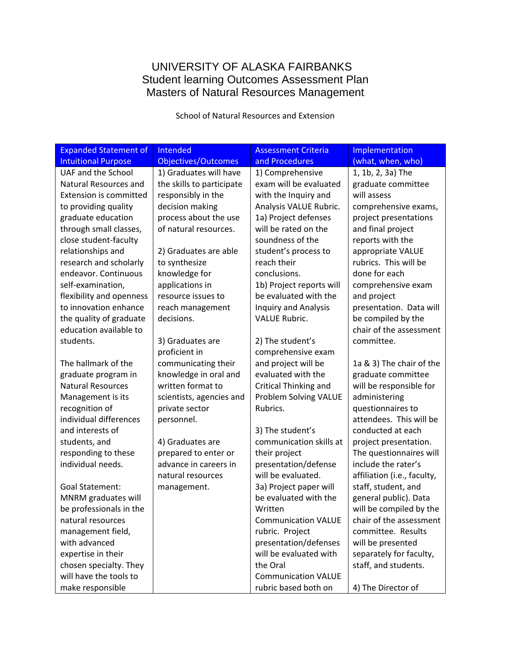# UNIVERSITY OF ALASKA FAIRBANKS Student learning Outcomes Assessment Plan Masters of Natural Resources Management

School of Natural Resources and Extension

| <b>Expanded Statement of</b>  | Intended<br><b>Assessment Criteria</b> |                              | Implementation              |
|-------------------------------|----------------------------------------|------------------------------|-----------------------------|
| <b>Intuitional Purpose</b>    | <b>Objectives/Outcomes</b>             | and Procedures               | (what, when, who)           |
| UAF and the School            | 1) Graduates will have                 | 1) Comprehensive             | 1, 1b, 2, 3a) The           |
| <b>Natural Resources and</b>  | the skills to participate              | exam will be evaluated       | graduate committee          |
| <b>Extension is committed</b> | responsibly in the                     | with the Inquiry and         | will assess                 |
| to providing quality          | decision making                        | Analysis VALUE Rubric.       | comprehensive exams,        |
| graduate education            | process about the use                  | 1a) Project defenses         | project presentations       |
| through small classes,        | of natural resources.                  | will be rated on the         | and final project           |
| close student-faculty         |                                        | soundness of the             | reports with the            |
| relationships and             | 2) Graduates are able                  | student's process to         | appropriate VALUE           |
| research and scholarly        | to synthesize                          | reach their                  | rubrics. This will be       |
| endeavor. Continuous          | knowledge for                          | conclusions.                 | done for each               |
| self-examination,             | applications in                        | 1b) Project reports will     | comprehensive exam          |
| flexibility and openness      | resource issues to                     | be evaluated with the        | and project                 |
| to innovation enhance         | reach management                       | <b>Inquiry and Analysis</b>  | presentation. Data will     |
| the quality of graduate       | decisions.                             | <b>VALUE Rubric.</b>         | be compiled by the          |
| education available to        |                                        |                              | chair of the assessment     |
| students.                     | 3) Graduates are                       | 2) The student's             | committee.                  |
|                               | proficient in                          | comprehensive exam           |                             |
| The hallmark of the           | communicating their                    | and project will be          | 1a & 3) The chair of the    |
| graduate program in           | knowledge in oral and                  | evaluated with the           | graduate committee          |
| <b>Natural Resources</b>      | written format to                      | <b>Critical Thinking and</b> | will be responsible for     |
| Management is its             | scientists, agencies and               | Problem Solving VALUE        | administering               |
| recognition of                | private sector                         | Rubrics.                     | questionnaires to           |
| individual differences        | personnel.                             |                              | attendees. This will be     |
| and interests of              |                                        | 3) The student's             | conducted at each           |
| students, and                 | 4) Graduates are                       | communication skills at      | project presentation.       |
| responding to these           | prepared to enter or                   | their project                | The questionnaires will     |
| individual needs.             | advance in careers in                  | presentation/defense         | include the rater's         |
|                               | natural resources                      | will be evaluated.           | affiliation (i.e., faculty, |
| <b>Goal Statement:</b>        | management.                            | 3a) Project paper will       | staff, student, and         |
| MNRM graduates will           |                                        | be evaluated with the        | general public). Data       |
| be professionals in the       |                                        | Written                      | will be compiled by the     |
| natural resources             |                                        | <b>Communication VALUE</b>   | chair of the assessment     |
| management field,             |                                        | rubric. Project              | committee. Results          |
| with advanced                 |                                        | presentation/defenses        | will be presented           |
| expertise in their            |                                        | will be evaluated with       | separately for faculty,     |
| chosen specialty. They        |                                        | the Oral                     | staff, and students.        |
| will have the tools to        |                                        | <b>Communication VALUE</b>   |                             |
| make responsible              |                                        | rubric based both on         | 4) The Director of          |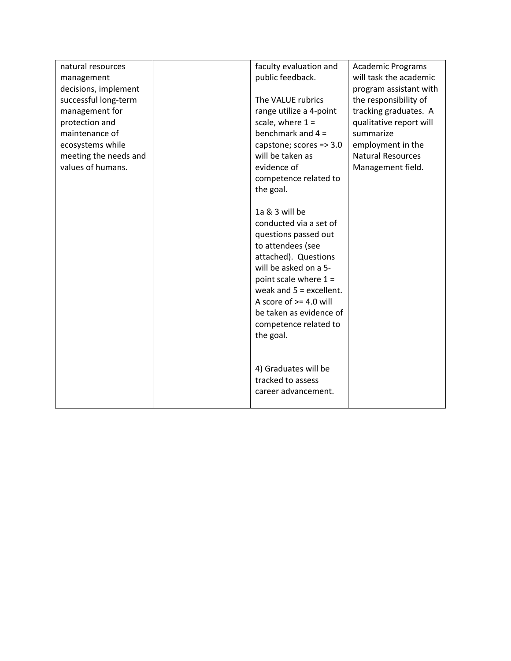| natural resources     | faculty evaluation and    | <b>Academic Programs</b> |
|-----------------------|---------------------------|--------------------------|
| management            | public feedback.          | will task the academic   |
| decisions, implement  |                           | program assistant with   |
| successful long-term  | The VALUE rubrics         | the responsibility of    |
| management for        | range utilize a 4-point   | tracking graduates. A    |
| protection and        | scale, where $1 =$        | qualitative report will  |
| maintenance of        | benchmark and $4 =$       | summarize                |
| ecosystems while      | capstone; scores => 3.0   | employment in the        |
| meeting the needs and | will be taken as          | <b>Natural Resources</b> |
| values of humans.     | evidence of               | Management field.        |
|                       | competence related to     |                          |
|                       | the goal.                 |                          |
|                       |                           |                          |
|                       | 1a & 3 will be            |                          |
|                       | conducted via a set of    |                          |
|                       | questions passed out      |                          |
|                       | to attendees (see         |                          |
|                       | attached). Questions      |                          |
|                       | will be asked on a 5-     |                          |
|                       | point scale where $1 =$   |                          |
|                       | weak and $5 =$ excellent. |                          |
|                       | A score of $> = 4.0$ will |                          |
|                       | be taken as evidence of   |                          |
|                       | competence related to     |                          |
|                       | the goal.                 |                          |
|                       |                           |                          |
|                       |                           |                          |
|                       | 4) Graduates will be      |                          |
|                       | tracked to assess         |                          |
|                       | career advancement.       |                          |
|                       |                           |                          |